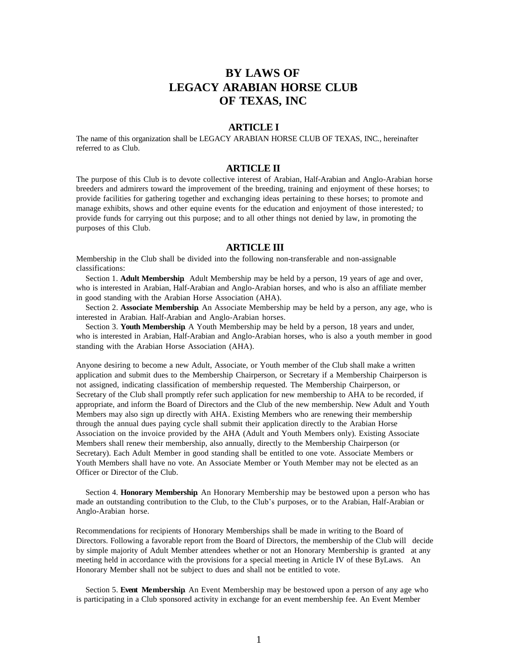# **BY LAWS OF LEGACY ARABIAN HORSE CLUB OF TEXAS, INC**

# **ARTICLE I**

The name of this organization shall be LEGACY ARABIAN HORSE CLUB OF TEXAS, INC*.,* hereinafter referred to as Club.

# **ARTICLE II**

The purpose of this Club is to devote collective interest of Arabian*,* Half-Arabian and Anglo-Arabian horse breeders and admirers toward the improvement of the breeding*,* training and enjoyment of these horses; to provide facilities for gathering together and exchanging ideas pertaining to these horses; to promote and manage exhibits*,* shows and other equine events for the education and enjoyment of those interested*;* to provide funds for carrying out this purpose; and to all other things not denied by law, in promoting the purposes of this Club.

# **ARTICLE III**

Membership in the Club shall be divided into the following non-transferable and non-assignable classifications:

Section 1. **Adult Membership**. Adult Membership may be held by a person, 19 years of age and over, who is interested in Arabian*,* Half-Arabian and Anglo-Arabian horses, and who is also an affiliate member in good standing with the Arabian Horse Association (AHA).

Section 2. **Associate Membership**. An Associate Membership may be held by a person, any age, who is interested in Arabian*.* Half-Arabian and Anglo-Arabian horses.

Section 3. **Youth Membership**. A Youth Membership may be held by a person, 18 years and under, who is interested in Arabian*,* Half-Arabian and Anglo-Arabian horses, who is also a youth member in good standing with the Arabian Horse Association (AHA).

Anyone desiring to become a new Adult, Associate, or Youth member of the Club shall make a written application and submit dues to the Membership Chairperson, or Secretary if a Membership Chairperson is not assigned, indicating classification of membership requested. The Membership Chairperson*,* or Secretary of the Club shall promptly refer such application for new membership to AHA to be recorded, if appropriate, and inform the Board of Directors and the Club of the new membership*.* New Adult and Youth Members may also sign up directly with AHA*.* Existing Members who are renewing their membership through the annual dues paying cycle shall submit their application directly to the Arabian Horse Association on the invoice provided by the AHA (Adult and Youth Members only). Existing Associate Members shall renew their membership, also annually, directly to the Membership Chairperson (or Secretary). Each Adult Member in good standing shall be entitled to one vote. Associate Members or Youth Members shall have no vote. An Associate Member or Youth Member may not be elected as an Officer or Director of the Club.

Section 4. **Honorary Membership**. An Honorary Membership may be bestowed upon a person who has made an outstanding contribution to the Club, to the Club's purposes, or to the Arabian*,* Half-Arabian or Anglo-Arabian horse.

Recommendations for recipients of Honorary Memberships shall be made in writing to the Board of Directors. Following a favorable report from the Board of Directors, the membership of the Club will decide by simple majority of Adult Member attendees whether or not an Honorary Membership is granted at any meeting held in accordance with the provisions for a special meeting in Article IV of these ByLaws. An Honorary Member shall not be subject to dues and shall not be entitled to vote.

Section 5. **Event Membership**. An Event Membership may be bestowed upon a person of any age who is participating in a Club sponsored activity in exchange for an event membership fee. An Event Member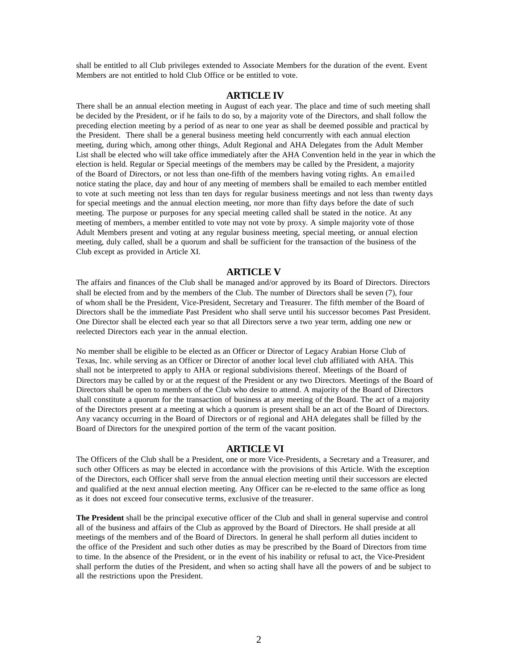shall be entitled to all Club privileges extended to Associate Members for the duration of the event. Event Members are not entitled to hold Club Office or be entitled to vote.

# **ARTICLE IV**

There shall be an annual election meeting in August of each year. The place and time of such meeting shall be decided by the President, or if he fails to do so, by a majority vote of the Directors, and shall follow the preceding election meeting by a period of as near to one year as shall be deemed possible and practical by the President. There shall be a general business meeting held concurrently with each annual election meeting, during which, among other things, Adult Regional and AHA Delegates from the Adult Member List shall be elected who will take office immediately after the AHA Convention held in the year in which the election is held. Regular or Special meetings of the members may be called by the President, a majority of the Board of Directors, or not less than one-fifth of the members having voting rights. An emailed notice stating the place, day and hour of any meeting of members shall be emailed to each member entitled to vote at such meeting not less than ten days for regular business meetings and not less than twenty days for special meetings and the annual election meeting, nor more than fifty days before the date of such meeting. The purpose or purposes for any special meeting called shall be stated in the notice. At any meeting of members, a member entitled to vote may not vote by proxy. A simple majority vote of those Adult Members present and voting at any regular business meeting, special meeting, or annual election meeting, duly called, shall be a quorum and shall be sufficient for the transaction of the business of the Club except as provided in Article XI.

# **ARTICLE V**

The affairs and finances of the Club shall be managed and/or approved by its Board of Directors. Directors shall be elected from and by the members of the Club. The number of Directors shall be seven (7), four of whom shall be the President, Vice-President, Secretary and Treasurer. The fifth member of the Board of Directors shall be the immediate Past President who shall serve until his successor becomes Past President. One Director shall be elected each year so that all Directors serve a two year term, adding one new or reelected Directors each year in the annual election.

No member shall be eligible to be elected as an Officer or Director of Legacy Arabian Horse Club of Texas, Inc. while serving as an Officer or Director of another local level club affiliated with AHA. This shall not be interpreted to apply to AHA or regional subdivisions thereof. Meetings of the Board of Directors may be called by or at the request of the President or any two Directors. Meetings of the Board of Directors shall be open to members of the Club who desire to attend. A majority of the Board of Directors shall constitute a quorum for the transaction of business at any meeting of the Board. The act of a majority of the Directors present at a meeting at which a quorum is present shall be an act of the Board of Directors. Any vacancy occurring in the Board of Directors or of regional and AHA delegates shall be filled by the Board of Directors for the unexpired portion of the term of the vacant position.

## **ARTICLE VI**

The Officers of the Club shall be a President, one or more Vice-Presidents, a Secretary and a Treasurer, and such other Officers as may be elected in accordance with the provisions of this Article. With the exception of the Directors, each Officer shall serve from the annual election meeting until their successors are elected and qualified at the next annual election meeting. Any Officer can be re-elected to the same office as long as it does not exceed four consecutive terms, exclusive of the treasurer.

**The President** shall be the principal executive officer of the Club and shall in general supervise and control all of the business and affairs of the Club as approved by the Board of Directors. He shall preside at all meetings of the members and of the Board of Directors. In general he shall perform all duties incident to the office of the President and such other duties as may be prescribed by the Board of Directors from time to time. In the absence of the President, or in the event of his inability or refusal to act, the Vice-President shall perform the duties of the President, and when so acting shall have all the powers of and be subject to all the restrictions upon the President.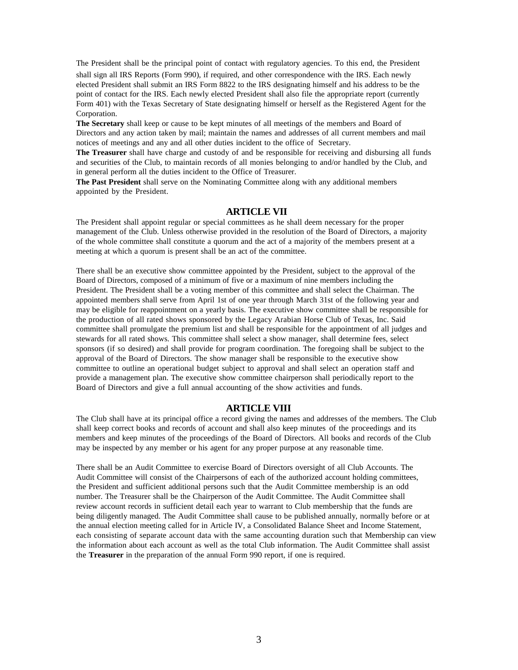The President shall be the principal point of contact with regulatory agencies. To this end, the President shall sign all IRS Reports (Form 990), if required, and other correspondence with the IRS. Each newly elected President shall submit an IRS Form 8822 to the IRS designating himself and his address to be the point of contact for the IRS. Each newly elected President shall also file the appropriate report (currently Form 401) with the Texas Secretary of State designating himself or herself as the Registered Agent for the Corporation.

**The Secretary** shall keep or cause to be kept minutes of all meetings of the members and Board of Directors and any action taken by mail; maintain the names and addresses of all current members and mail notices of meetings and any and all other duties incident to the office of Secretary.

**The Treasurer** shall have charge and custody of and be responsible for receiving and disbursing all funds and securities of the Club, to maintain records of all monies belonging to and/or handled by the Club, and in general perform all the duties incident to the Office of Treasurer.

**The Past President** shall serve on the Nominating Committee along with any additional members appointed by the President.

## **ARTICLE VII**

The President shall appoint regular or special committees as he shall deem necessary for the proper management of the Club. Unless otherwise provided in the resolution of the Board of Directors, a majority of the whole committee shall constitute a quorum and the act of a majority of the members present at a meeting at which a quorum is present shall be an act of the committee.

There shall be an executive show committee appointed by the President, subject to the approval of the Board of Directors, composed of a minimum of five or a maximum of nine members including the President. The President shall be a voting member of this committee and shall select the Chairman. The appointed members shall serve from April 1st of one year through March 31st of the following year and may be eligible for reappointment on a yearly basis. The executive show committee shall be responsible for the production of all rated shows sponsored by the Legacy Arabian Horse Club of Texas, Inc. Said committee shall promulgate the premium list and shall be responsible for the appointment of all judges and stewards for all rated shows. This committee shall select a show manager, shall determine fees, select sponsors (if so desired) and shall provide for program coordination. The foregoing shall be subject to the approval of the Board of Directors. The show manager shall be responsible to the executive show committee to outline an operational budget subject to approval and shall select an operation staff and provide a management plan. The executive show committee chairperson shall periodically report to the Board of Directors and give a full annual accounting of the show activities and funds.

## **ARTICLE VIII**

The Club shall have at its principal office a record giving the names and addresses of the members. The Club shall keep correct books and records of account and shall also keep minutes of the proceedings and its members and keep minutes of the proceedings of the Board of Directors. All books and records of the Club may be inspected by any member or his agent for any proper purpose at any reasonable time.

There shall be an Audit Committee to exercise Board of Directors oversight of all Club Accounts. The Audit Committee will consist of the Chairpersons of each of the authorized account holding committees, the President and sufficient additional persons such that the Audit Committee membership is an odd number. The Treasurer shall be the Chairperson of the Audit Committee. The Audit Committee shall review account records in sufficient detail each year to warrant to Club membership that the funds are being diligently managed. The Audit Committee shall cause to be published annually, normally before or at the annual election meeting called for in Article IV, a Consolidated Balance Sheet and Income Statement, each consisting of separate account data with the same accounting duration such that Membership can view the information about each account as well as the total Club information. The Audit Committee shall assist the **Treasurer** in the preparation of the annual Form 990 report, if one is required.